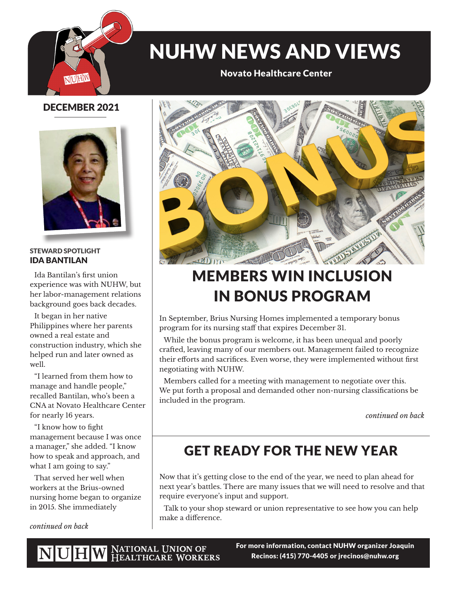

# NUHW NEWS AND VIEWS

Novato Healthcare Center

### DECEMBER 2021



#### STEWARD SPOTLIGHT IDA BANTILAN

Ida Bantilan's first union experience was with NUHW, but her labor-management relations background goes back decades.

It began in her native Philippines where her parents owned a real estate and construction industry, which she helped run and later owned as well.

"I learned from them how to manage and handle people," recalled Bantilan, who's been a CNA at Novato Healthcare Center for nearly 16 years.

"I know how to fight management because I was once a manager," she added. "I know how to speak and approach, and what I am going to say."

That served her well when workers at the Brius-owned nursing home began to organize in 2015. She immediately

*continued on back*



# MEMBERS WIN INCLUSION IN BONUS PROGRAM

In September, Brius Nursing Homes implemented a temporary bonus program for its nursing staff that expires December 31.

While the bonus program is welcome, it has been unequal and poorly crafted, leaving many of our members out. Management failed to recognize their efforts and sacrifices. Even worse, they were implemented without first negotiating with NUHW.

Members called for a meeting with management to negotiate over this. We put forth a proposal and demanded other non-nursing classifications be included in the program.

*continued on back*

## GET READY FOR THE NEW YEAR

Now that it's getting close to the end of the year, we need to plan ahead for next year's battles. There are many issues that we will need to resolve and that require everyone's input and support.

Talk to your shop steward or union representative to see how you can help make a difference.

NUHW NATIONAL UNION OF HEALTHCARE WORKERS

For more information, contact NUHW organizer Joaquin Recinos: (415) 770-4405 or jrecinos@nuhw.org